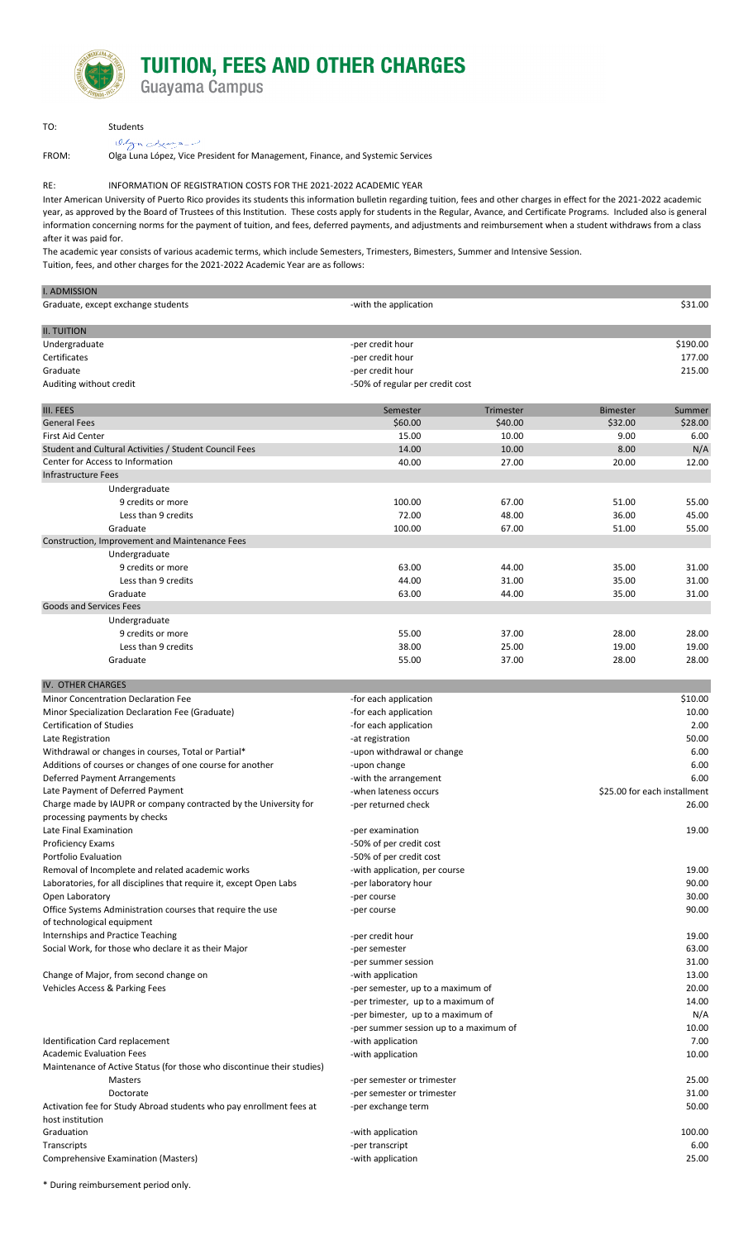# **TUITION, FEES AND OTHER CHARGES**

Guayama Campus

| TO: | Students  |
|-----|-----------|
|     | Olyn Luna |

FROM: Olga Luna López, Vice President for Management, Finance, and Systemic Services

# RE: INFORMATION OF REGISTRATION COSTS FOR THE 2021-2022 ACADEMIC YEAR

Inter American University of Puerto Rico provides its students this information bulletin regarding tuition, fees and other charges in effect for the 2021-2022 academic year, as approved by the Board of Trustees of this Institution. These costs apply for students in the Regular, Avance, and Certificate Programs. Included also is general information concerning norms for the payment of tuition, and fees, deferred payments, and adjustments and reimbursement when a student withdraws from a class after it was paid for.

Tuition, fees, and other charges for the 2021-2022 Academic Year are as follows: The academic year consists of various academic terms, which include Semesters, Trimesters, Bimesters, Summer and Intensive Session.

| <b>I. ADMISSION</b>                                                                      |                                                                     |                  |                              |          |
|------------------------------------------------------------------------------------------|---------------------------------------------------------------------|------------------|------------------------------|----------|
| Graduate, except exchange students                                                       | -with the application                                               |                  |                              | \$31.00  |
| <b>II. TUITION</b>                                                                       |                                                                     |                  |                              |          |
| Undergraduate                                                                            | -per credit hour                                                    |                  |                              | \$190.00 |
| Certificates                                                                             | -per credit hour                                                    |                  |                              | 177.00   |
| Graduate                                                                                 | -per credit hour                                                    |                  |                              | 215.00   |
|                                                                                          |                                                                     |                  |                              |          |
| Auditing without credit                                                                  | -50% of regular per credit cost                                     |                  |                              |          |
| <b>III. FEES</b>                                                                         | Semester                                                            | <b>Trimester</b> | <b>Bimester</b>              | Summer   |
| <b>General Fees</b>                                                                      | \$60.00                                                             | \$40.00          | \$32.00                      | \$28.00  |
| First Aid Center                                                                         | 15.00                                                               | 10.00            | 9.00                         | 6.00     |
| Student and Cultural Activities / Student Council Fees                                   | 14.00                                                               | 10.00            | 8.00                         | N/A      |
| Center for Access to Information                                                         | 40.00                                                               | 27.00            | 20.00                        | 12.00    |
| Infrastructure Fees                                                                      |                                                                     |                  |                              |          |
| Undergraduate                                                                            |                                                                     |                  |                              |          |
| 9 credits or more                                                                        | 100.00                                                              | 67.00            | 51.00                        | 55.00    |
| Less than 9 credits                                                                      | 72.00                                                               | 48.00            | 36.00                        | 45.00    |
| Graduate                                                                                 | 100.00                                                              | 67.00            | 51.00                        | 55.00    |
| Construction, Improvement and Maintenance Fees                                           |                                                                     |                  |                              |          |
| Undergraduate                                                                            |                                                                     |                  |                              |          |
| 9 credits or more                                                                        | 63.00                                                               | 44.00            | 35.00                        | 31.00    |
| Less than 9 credits                                                                      | 44.00                                                               | 31.00            | 35.00                        | 31.00    |
| Graduate                                                                                 | 63.00                                                               | 44.00            | 35.00                        | 31.00    |
| Goods and Services Fees                                                                  |                                                                     |                  |                              |          |
|                                                                                          |                                                                     |                  |                              |          |
| Undergraduate                                                                            |                                                                     |                  |                              |          |
| 9 credits or more                                                                        | 55.00                                                               | 37.00            | 28.00                        | 28.00    |
| Less than 9 credits                                                                      | 38.00                                                               | 25.00            | 19.00                        | 19.00    |
| Graduate                                                                                 | 55.00                                                               | 37.00            | 28.00                        | 28.00    |
| <b>IV. OTHER CHARGES</b>                                                                 |                                                                     |                  |                              |          |
| <b>Minor Concentration Declaration Fee</b>                                               | -for each application                                               |                  |                              | \$10.00  |
| Minor Specialization Declaration Fee (Graduate)                                          | -for each application                                               |                  |                              | 10.00    |
| <b>Certification of Studies</b>                                                          | -for each application                                               |                  |                              | 2.00     |
| Late Registration                                                                        | -at registration                                                    |                  |                              | 50.00    |
| Withdrawal or changes in courses, Total or Partial*                                      | -upon withdrawal or change                                          |                  |                              | 6.00     |
| Additions of courses or changes of one course for another                                | -upon change                                                        |                  |                              | 6.00     |
| Deferred Payment Arrangements                                                            | -with the arrangement                                               |                  |                              | 6.00     |
| Late Payment of Deferred Payment                                                         | -when lateness occurs                                               |                  | \$25.00 for each installment |          |
| Charge made by IAUPR or company contracted by the University for                         | -per returned check                                                 |                  |                              | 26.00    |
| processing payments by checks                                                            |                                                                     |                  |                              |          |
| Late Final Examination                                                                   | -per examination                                                    |                  |                              | 19.00    |
| Proficiency Exams                                                                        | -50% of per credit cost                                             |                  |                              |          |
| Portfolio Evaluation                                                                     | -50% of per credit cost                                             |                  |                              |          |
| Removal of Incomplete and related academic works                                         | -with application, per course                                       |                  |                              | 19.00    |
| Laboratories, for all disciplines that require it, except Open Labs                      |                                                                     |                  |                              | 90.00    |
|                                                                                          | -per laboratory hour                                                |                  |                              |          |
| Open Laboratory                                                                          | -per course                                                         |                  |                              | 30.00    |
| Office Systems Administration courses that require the use<br>of technological equipment | -per course                                                         |                  |                              | 90.00    |
| Internships and Practice Teaching                                                        |                                                                     |                  |                              | 19.00    |
|                                                                                          | -per credit hour                                                    |                  |                              |          |
| Social Work, for those who declare it as their Major                                     | -per semester                                                       |                  |                              | 63.00    |
|                                                                                          | -per summer session                                                 |                  |                              | 31.00    |
| Change of Major, from second change on                                                   | -with application                                                   |                  |                              | 13.00    |
|                                                                                          | Vehicles Access & Parking Fees<br>-per semester, up to a maximum of |                  |                              | 20.00    |
|                                                                                          | -per trimester, up to a maximum of                                  |                  |                              | 14.00    |
|                                                                                          | -per bimester, up to a maximum of                                   |                  |                              | N/A      |
|                                                                                          | -per summer session up to a maximum of                              |                  |                              | 10.00    |
| Identification Card replacement                                                          | -with application                                                   |                  |                              | 7.00     |
| <b>Academic Evaluation Fees</b>                                                          | -with application                                                   |                  |                              | 10.00    |
| Maintenance of Active Status (for those who discontinue their studies)                   |                                                                     |                  |                              |          |
| Masters                                                                                  | -per semester or trimester                                          |                  |                              | 25.00    |
| Doctorate                                                                                | -per semester or trimester                                          |                  |                              | 31.00    |
| Activation fee for Study Abroad students who pay enrollment fees at                      | -per exchange term                                                  |                  |                              | 50.00    |
| host institution                                                                         |                                                                     |                  |                              |          |
| Graduation                                                                               | -with application                                                   |                  |                              | 100.00   |
| Transcripts                                                                              | -per transcript                                                     |                  |                              | 6.00     |
| Comprehensive Examination (Masters)                                                      | -with application                                                   |                  |                              | 25.00    |
|                                                                                          |                                                                     |                  |                              |          |
| * During roimburgament period only                                                       |                                                                     |                  |                              |          |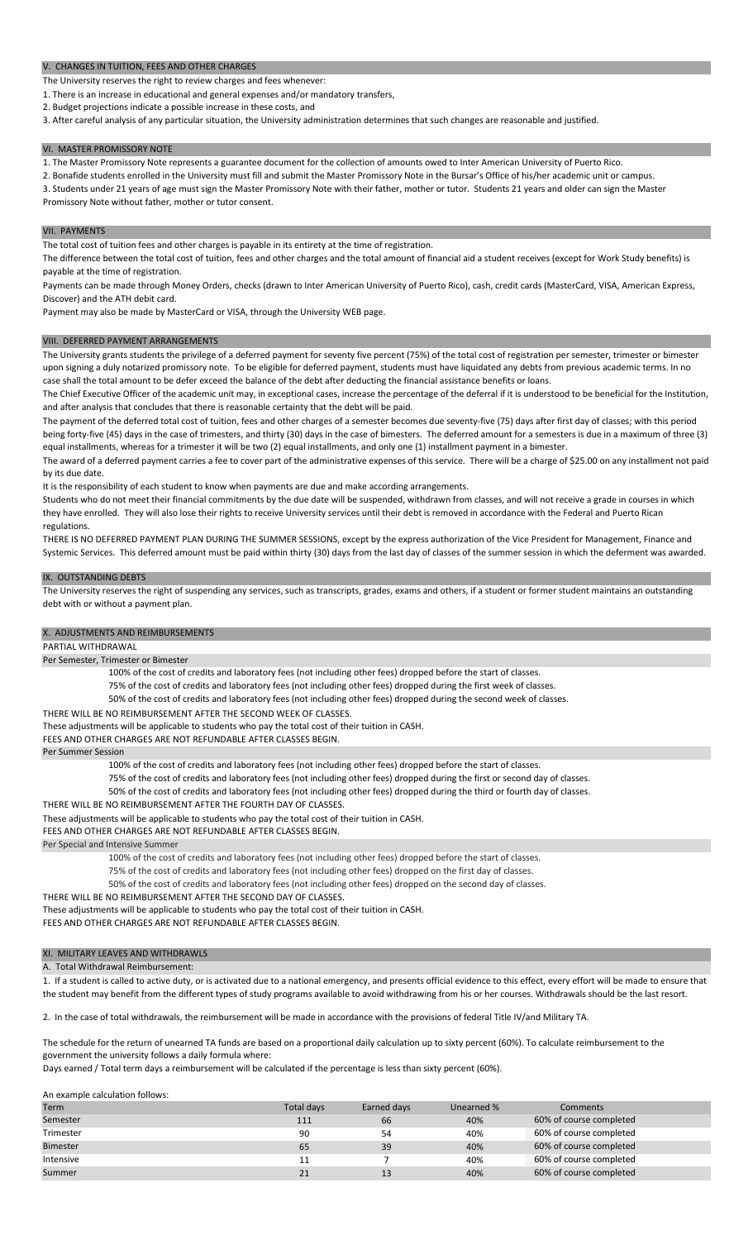V. CHANGES IN TUITION, FEES AND OTHER CHARGES

The University reserves the right to review charges and fees whenever:

1. There is an increase in educational and general expenses and/or mandatory transfers,

2. Budget projections indicate a possible increase in these costs, and

3. After careful analysis of any particular situation, the University administration determines that such changes are reasonable and justified.

# VI. MASTER PROMISSORY NOTE

1. The Master Promissory Note represents a guarantee document for the collection of amounts owed to Inter American University of Puerto Rico.

2. Bonafide students enrolled in the University must fill and submit the Master Promissory Note in the Bursar's Office of his/her academic unit or campus.

3. Students under 21 years of age must sign the Master Promissory Note with their father, mother or tutor. Students 21 years and older can sign the Master Promissory Note without father, mother or tutor consent.

VII. PAYMENTS

The total cost of tuition fees and other charges is payable in its entirety at the time of registration.

The difference between the total cost of tuition, fees and other charges and the total amount of financial aid a student receives (except for Work Study benefits) is payable at the time of registration.

Payments can be made through Money Orders, checks (drawn to Inter American University of Puerto Rico), cash, credit cards (MasterCard, VISA, American Express, Discover) and the ATH debit card.

Payment may also be made by MasterCard or VISA, through the University WEB page.

#### VIII. DEFERRED PAYMENT ARRANGEMENTS

The University grants students the privilege of a deferred payment for seventy five percent (75%) of the total cost of registration per semester, trimester or bimester upon signing a duly notarized promissory note. To be eligible for deferred payment, students must have liquidated any debts from previous academic terms. In no case shall the total amount to be defer exceed the balance of the debt after deducting the financial assistance benefits or loans.

The Chief Executive Officer of the academic unit may, in exceptional cases, increase the percentage of the deferral if it is understood to be beneficial for the Institution, and after analysis that concludes that there is reasonable certainty that the debt will be paid.

The payment of the deferred total cost of tuition, fees and other charges of a semester becomes due seventy-five (75) days after first day of classes; with this period being forty-five (45) days in the case of trimesters, and thirty (30) days in the case of bimesters. The deferred amount for a semesters is due in a maximum of three (3) equal installments, whereas for a trimester it will be two (2) equal installments, and only one (1) installment payment in a bimester.

The award of a deferred payment carries a fee to cover part of the administrative expenses of this service. There will be a charge of \$25.00 on any installment not paid by its due date.

It is the responsibility of each student to know when payments are due and make according arrangements.

Students who do not meet their financial commitments by the due date will be suspended, withdrawn from classes, and will not receive a grade in courses in which they have enrolled. They will also lose their rights to receive University services until their debt is removed in accordance with the Federal and Puerto Rican regulations.

THERE IS NO DEFERRED PAYMENT PLAN DURING THE SUMMER SESSIONS, except by the express authorization of the Vice President for Management, Finance and Systemic Services. This deferred amount must be paid within thirty (30) days from the last day of classes of the summer session in which the deferment was awarded.

#### IX. OUTSTANDING DEBTS

The University reserves the right of suspending any services, such as transcripts, grades, exams and others, if a student or former student maintains an outstanding debt with or without a payment plan.

# X. ADJUSTMENTS AND REIMBURSEMENTS

# PARTIAL WITHDRAWAL

# Per Semester, Trimester or Bimester

100% of the cost of credits and laboratory fees (not including other fees) dropped before the start of classes.

75% of the cost of credits and laboratory fees (not including other fees) dropped during the first week of classes.

- 50% of the cost of credits and laboratory fees (not including other fees) dropped during the second week of classes.
- THERE WILL BE NO REIMBURSEMENT AFTER THE SECOND WEEK OF CLASSES.

These adjustments will be applicable to students who pay the total cost of their tuition in CASH.

FEES AND OTHER CHARGES ARE NOT REFUNDABLE AFTER CLASSES BEGIN.

### Per Summer Session

100% of the cost of credits and laboratory fees (not including other fees) dropped before the start of classes.

75% of the cost of credits and laboratory fees (not including other fees) dropped during the first or second day of classes.

- 50% of the cost of credits and laboratory fees (not including other fees) dropped during the third or fourth day of classes.
- THERE WILL BE NO REIMBURSEMENT AFTER THE FOURTH DAY OF CLASSES.

These adjustments will be applicable to students who pay the total cost of their tuition in CASH.

FEES AND OTHER CHARGES ARE NOT REFUNDABLE AFTER CLASSES BEGIN.

Per Special and Intensive Summer

- 100% of the cost of credits and laboratory fees (not including other fees) dropped before the start of classes.
- 75% of the cost of credits and laboratory fees (not including other fees) dropped on the first day of classes.

50% of the cost of credits and laboratory fees (not including other fees) dropped on the second day of classes.

THERE WILL BE NO REIMBURSEMENT AFTER THE SECOND DAY OF CLASSES.

FEES AND OTHER CHARGES ARE NOT REFUNDABLE AFTER CLASSES BEGIN. These adjustments will be applicable to students who pay the total cost of their tuition in CASH.

# XI. MILITARY LEAVES AND WITHDRAWLS

A. Total Withdrawal Reimbursement:

1. If a student is called to active duty, or is activated due to a national emergency, and presents official evidence to this effect, every effort will be made to ensure that the student may benefit from the different types of study programs available to avoid withdrawing from his or her courses. Withdrawals should be the last resort.

2. In the case of total withdrawals, the reimbursement will be made in accordance with the provisions of federal Title IV/and Military TA.

The schedule for the return of unearned TA funds are based on a proportional daily calculation up to sixty percent (60%). To calculate reimbursement to the government the university follows a daily formula where:

Days earned / Total term days a reimbursement will be calculated if the percentage is less than sixty percent (60%).

#### An example calculation follows:

| <b>Term</b> | <b>Total davs</b> | Earned days | Unearned % | Comments                |
|-------------|-------------------|-------------|------------|-------------------------|
| Semester    | 111               | 66          | 40%        | 60% of course completed |
| Trimester   | 90                | 54          | 40%        | 60% of course completed |
| Bimester    | 65                | 39          | 40%        | 60% of course completed |
| Intensive   |                   |             | 40%        | 60% of course completed |
| Summer      | 21                | 13          | 40%        | 60% of course completed |